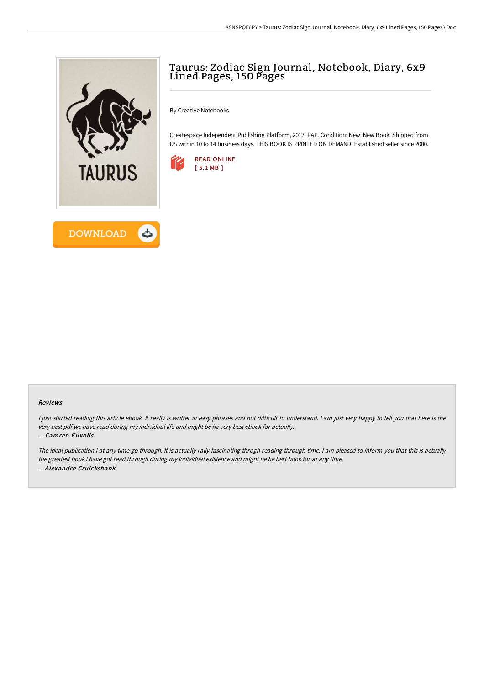

## Taurus: Zodiac Sign Journal, Notebook, Diary, 6x9 Lined Pages, 150 Pages

By Creative Notebooks

Createspace Independent Publishing Platform, 2017. PAP. Condition: New. New Book. Shipped from US within 10 to 14 business days. THIS BOOK IS PRINTED ON DEMAND. Established seller since 2000.



## Reviews

I just started reading this article ebook. It really is writter in easy phrases and not difficult to understand. I am just very happy to tell you that here is the very best pdf we have read during my individual life and might be he very best ebook for actually.

## -- Camren Kuvalis

The ideal publication i at any time go through. It is actually rally fascinating throgh reading through time. <sup>I</sup> am pleased to inform you that this is actually the greatest book i have got read through during my individual existence and might be he best book for at any time. -- Alexandre Cruickshank